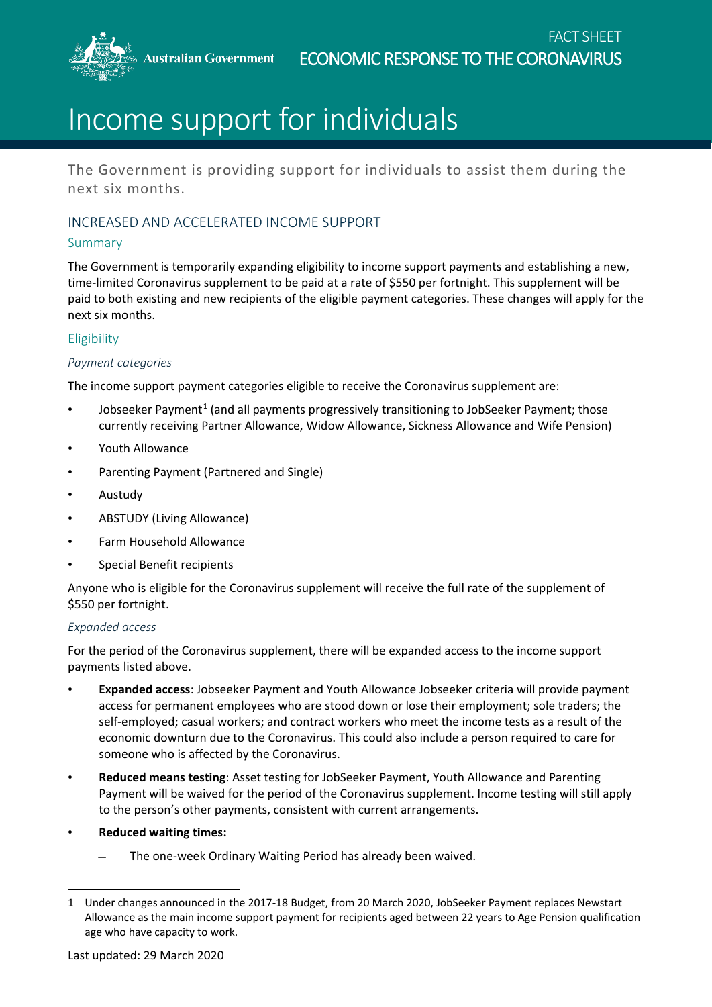**Australian Government** 



# Income support for individuals

The Government is providing support for individuals to assist them during the next six months.

## INCREASED AND ACCELERATED INCOME SUPPORT

## Summary

The Government is temporarily expanding eligibility to income support payments and establishing a new, time-limited Coronavirus supplement to be paid at a rate of \$550 per fortnight. This supplement will be paid to both existing and new recipients of the eligible payment categories. These changes will apply for the next six months.

## **Eligibility**

#### *Payment categories*

The income support payment categories eligible to receive the Coronavirus supplement are:

- Jobseeker Payment<sup>[1](#page-0-0)</sup> (and all payments progressively transitioning to JobSeeker Payment; those currently receiving Partner Allowance, Widow Allowance, Sickness Allowance and Wife Pension)
- Youth Allowance
- Parenting Payment (Partnered and Single)
- Austudy
- ABSTUDY (Living Allowance)
- Farm Household Allowance
- Special Benefit recipients

Anyone who is eligible for the Coronavirus supplement will receive the full rate of the supplement of \$550 per fortnight.

### *Expanded access*

For the period of the Coronavirus supplement, there will be expanded access to the income support payments listed above.

- **Expanded access**: Jobseeker Payment and Youth Allowance Jobseeker criteria will provide payment access for permanent employees who are stood down or lose their employment; sole traders; the self-employed; casual workers; and contract workers who meet the income tests as a result of the economic downturn due to the Coronavirus. This could also include a person required to care for someone who is affected by the Coronavirus.
- **Reduced means testing**: Asset testing for JobSeeker Payment, Youth Allowance and Parenting Payment will be waived for the period of the Coronavirus supplement. Income testing will still apply to the person's other payments, consistent with current arrangements.
- **Reduced waiting times:** 
	- The one-week Ordinary Waiting Period has already been waived.

<span id="page-0-0"></span> $\overline{a}$ 1 Under changes announced in the 2017-18 Budget, from 20 March 2020, JobSeeker Payment replaces Newstart Allowance as the main income support payment for recipients aged between 22 years to Age Pension qualification age who have capacity to work.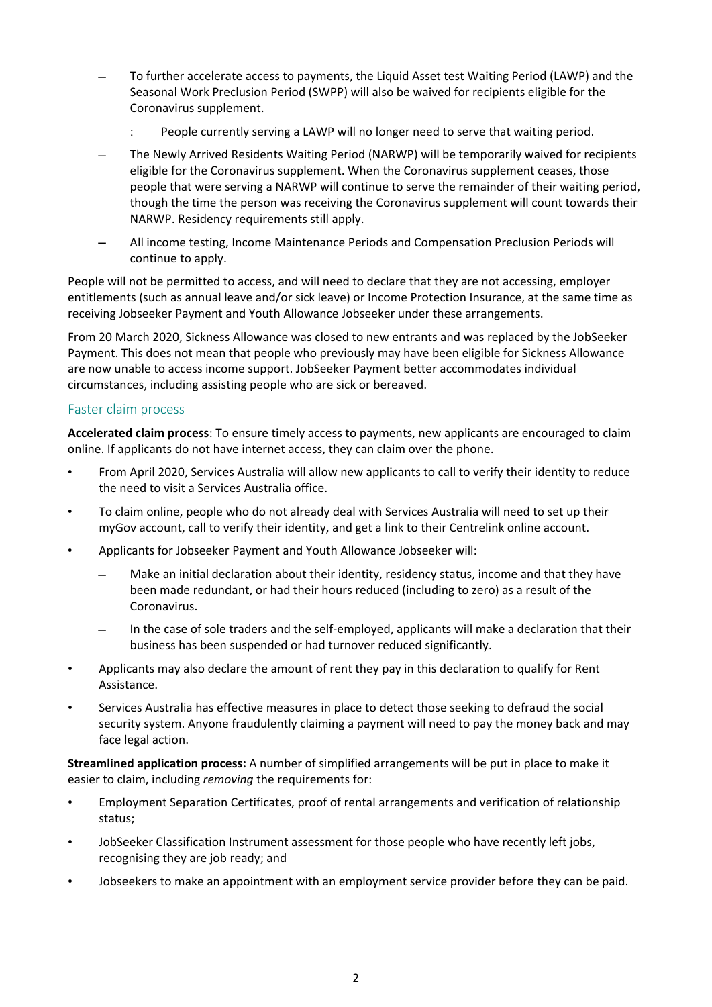- To further accelerate access to payments, the Liquid Asset test Waiting Period (LAWP) and the Seasonal Work Preclusion Period (SWPP) will also be waived for recipients eligible for the Coronavirus supplement.
	- People currently serving a LAWP will no longer need to serve that waiting period.
- The Newly Arrived Residents Waiting Period (NARWP) will be temporarily waived for recipients eligible for the Coronavirus supplement. When the Coronavirus supplement ceases, those people that were serving a NARWP will continue to serve the remainder of their waiting period, though the time the person was receiving the Coronavirus supplement will count towards their NARWP. Residency requirements still apply.
- All income testing, Income Maintenance Periods and Compensation Preclusion Periods will continue to apply.

People will not be permitted to access, and will need to declare that they are not accessing, employer entitlements (such as annual leave and/or sick leave) or Income Protection Insurance, at the same time as receiving Jobseeker Payment and Youth Allowance Jobseeker under these arrangements.

From 20 March 2020, Sickness Allowance was closed to new entrants and was replaced by the JobSeeker Payment. This does not mean that people who previously may have been eligible for Sickness Allowance are now unable to access income support. JobSeeker Payment better accommodates individual circumstances, including assisting people who are sick or bereaved.

#### Faster claim process

**Accelerated claim process**: To ensure timely access to payments, new applicants are encouraged to claim online. If applicants do not have internet access, they can claim over the phone.

- From April 2020, Services Australia will allow new applicants to call to verify their identity to reduce the need to visit a Services Australia office.
- To claim online, people who do not already deal with Services Australia will need to set up their myGov account, call to verify their identity, and get a link to their Centrelink online account.
- Applicants for Jobseeker Payment and Youth Allowance Jobseeker will:
	- Make an initial declaration about their identity, residency status, income and that they have been made redundant, or had their hours reduced (including to zero) as a result of the Coronavirus.
	- In the case of sole traders and the self-employed, applicants will make a declaration that their business has been suspended or had turnover reduced significantly.
- Applicants may also declare the amount of rent they pay in this declaration to qualify for Rent Assistance.
- Services Australia has effective measures in place to detect those seeking to defraud the social security system. Anyone fraudulently claiming a payment will need to pay the money back and may face legal action.

**Streamlined application process:** A number of simplified arrangements will be put in place to make it easier to claim, including *removing* the requirements for:

- Employment Separation Certificates, proof of rental arrangements and verification of relationship status;
- JobSeeker Classification Instrument assessment for those people who have recently left jobs, recognising they are job ready; and
- Jobseekers to make an appointment with an employment service provider before they can be paid.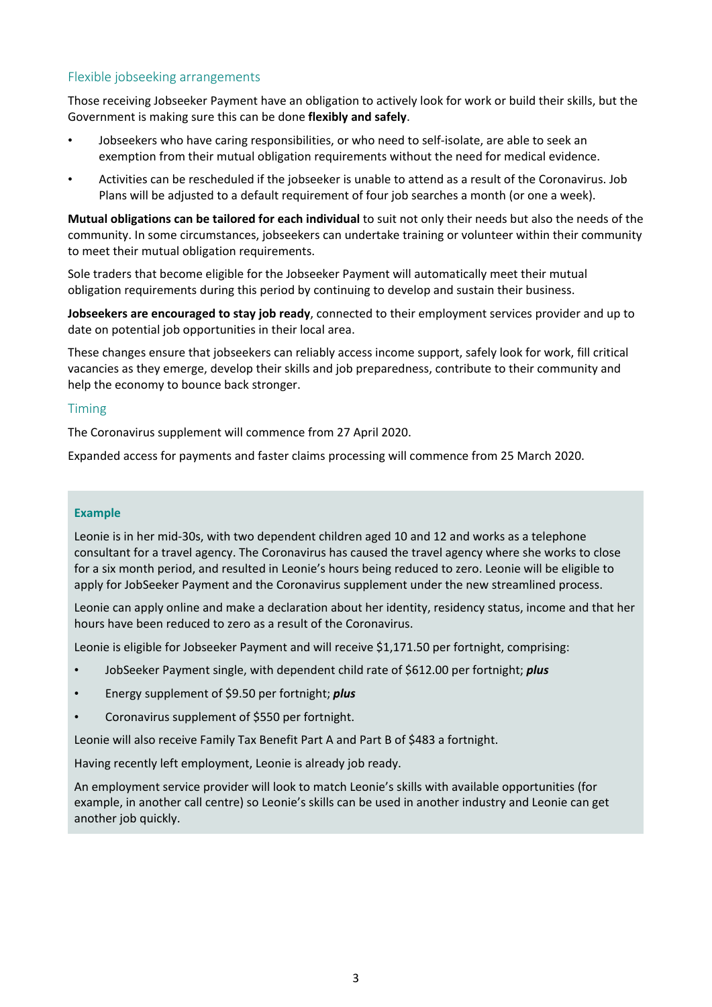## Flexible jobseeking arrangements

Those receiving Jobseeker Payment have an obligation to actively look for work or build their skills, but the Government is making sure this can be done **flexibly and safely**.

- Jobseekers who have caring responsibilities, or who need to self-isolate, are able to seek an exemption from their mutual obligation requirements without the need for medical evidence.
- Activities can be rescheduled if the jobseeker is unable to attend as a result of the Coronavirus. Job Plans will be adjusted to a default requirement of four job searches a month (or one a week).

**Mutual obligations can be tailored for each individual** to suit not only their needs but also the needs of the community. In some circumstances, jobseekers can undertake training or volunteer within their community to meet their mutual obligation requirements.

Sole traders that become eligible for the Jobseeker Payment will automatically meet their mutual obligation requirements during this period by continuing to develop and sustain their business.

**Jobseekers are encouraged to stay job ready**, connected to their employment services provider and up to date on potential job opportunities in their local area.

These changes ensure that jobseekers can reliably access income support, safely look for work, fill critical vacancies as they emerge, develop their skills and job preparedness, contribute to their community and help the economy to bounce back stronger.

#### Timing

The Coronavirus supplement will commence from 27 April 2020.

Expanded access for payments and faster claims processing will commence from 25 March 2020.

#### **Example**

Leonie is in her mid-30s, with two dependent children aged 10 and 12 and works as a telephone consultant for a travel agency. The Coronavirus has caused the travel agency where she works to close for a six month period, and resulted in Leonie's hours being reduced to zero. Leonie will be eligible to apply for JobSeeker Payment and the Coronavirus supplement under the new streamlined process.

Leonie can apply online and make a declaration about her identity, residency status, income and that her hours have been reduced to zero as a result of the Coronavirus.

Leonie is eligible for Jobseeker Payment and will receive \$1,171.50 per fortnight, comprising:

- JobSeeker Payment single, with dependent child rate of \$612.00 per fortnight; *plus*
- Energy supplement of \$9.50 per fortnight; *plus*
- Coronavirus supplement of \$550 per fortnight.

Leonie will also receive Family Tax Benefit Part A and Part B of \$483 a fortnight.

Having recently left employment, Leonie is already job ready.

An employment service provider will look to match Leonie's skills with available opportunities (for example, in another call centre) so Leonie's skills can be used in another industry and Leonie can get another job quickly.